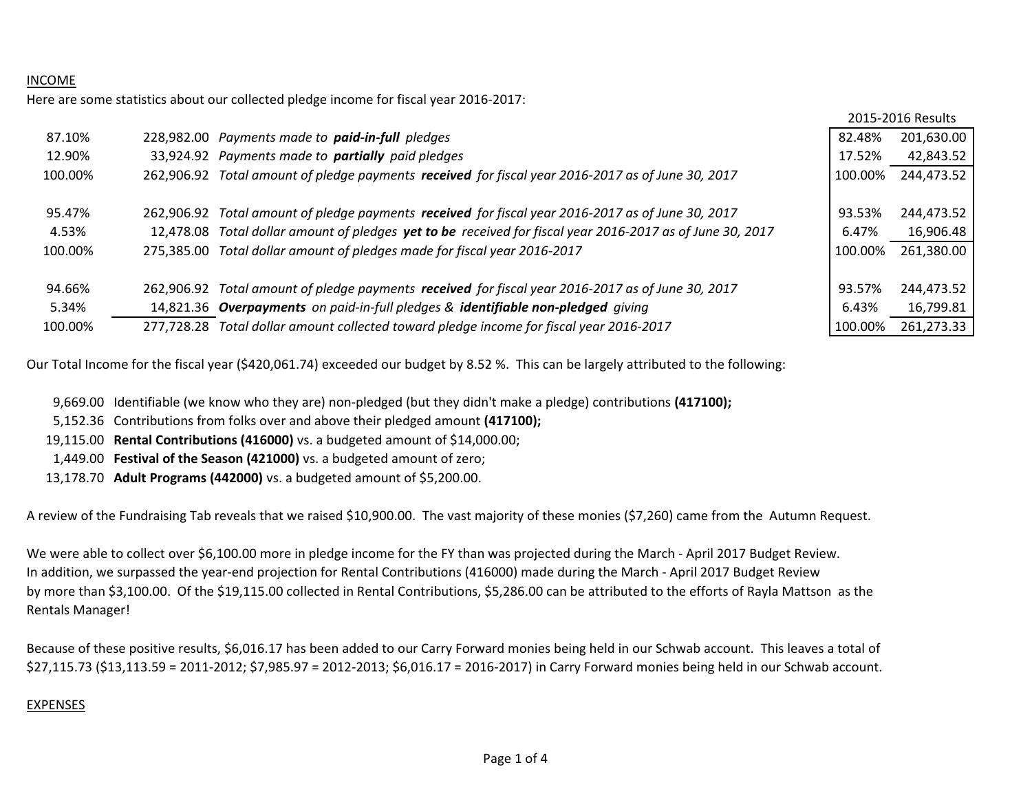# INCOME

Here are some statistics about our collected pledge income for fiscal year 2016-2017:

|         |            |                                                                                                   |         | 2015-2016 Results |
|---------|------------|---------------------------------------------------------------------------------------------------|---------|-------------------|
| 87.10%  |            | 228,982.00 Payments made to paid-in-full pledges                                                  | 82.48%  | 201,630.00        |
| 12.90%  |            | 33,924.92 Payments made to partially paid pledges                                                 | 17.52%  | 42,843.52         |
| 100.00% | 262.906.92 | Total amount of pledge payments received for fiscal year 2016-2017 as of June 30, 2017            | 100.00% | 244,473.52        |
|         |            |                                                                                                   |         |                   |
| 95.47%  | 262.906.92 | Total amount of pledge payments received for fiscal year 2016-2017 as of June 30, 2017            | 93.53%  | 244,473.52        |
| 4.53%   | 12.478.08  | Total dollar amount of pledges yet to be received for fiscal year 2016-2017 as of June 30, 2017   | 6.47%   | 16,906.48         |
| 100.00% | 275,385.00 | Total dollar amount of pledges made for fiscal year 2016-2017                                     | 100.00% | 261,380.00        |
|         |            |                                                                                                   |         |                   |
| 94.66%  |            | 262,906.92 Total amount of pledge payments received for fiscal year 2016-2017 as of June 30, 2017 | 93.57%  | 244,473.52        |
| 5.34%   |            | 14,821.36 Overpayments on paid-in-full pledges & identifiable non-pledged giving                  | 6.43%   | 16,799.81         |
| 100.00% |            | 277,728.28 Total dollar amount collected toward pledge income for fiscal year 2016-2017           | 100.00% | 261,273.33        |

Our Total Income for the fiscal year (\$420,061.74) exceeded our budget by 8.52 %. This can be largely attributed to the following:

9,669.00 Identifiable (we know who they are) non-pledged (but they didn't make a pledge) contributions **(417100);**

5,152.36 Contributions from folks over and above their pledged amount **(417100);**

19,115.00 **Rental Contributions (416000)** vs. a budgeted amount of \$14,000.00;

1,449.00 **Festival of the Season (421000)** vs. a budgeted amount of zero;

13,178.70 **Adult Programs (442000)** vs. a budgeted amount of \$5,200.00.

A review of the Fundraising Tab reveals that we raised \$10,900.00. The vast majority of these monies (\$7,260) came from the Autumn Request.

We were able to collect over \$6,100.00 more in pledge income for the FY than was projected during the March - April 2017 Budget Review. In addition, we surpassed the year-end projection for Rental Contributions (416000) made during the March - April 2017 Budget Review by more than \$3,100.00. Of the \$19,115.00 collected in Rental Contributions, \$5,286.00 can be attributed to the efforts of Rayla Mattson as the Rentals Manager!

Because of these positive results, \$6,016.17 has been added to our Carry Forward monies being held in our Schwab account. This leaves a total of \$27,115.73 (\$13,113.59 = 2011-2012; \$7,985.97 = 2012-2013; \$6,016.17 = 2016-2017) in Carry Forward monies being held in our Schwab account.

# EXPENSES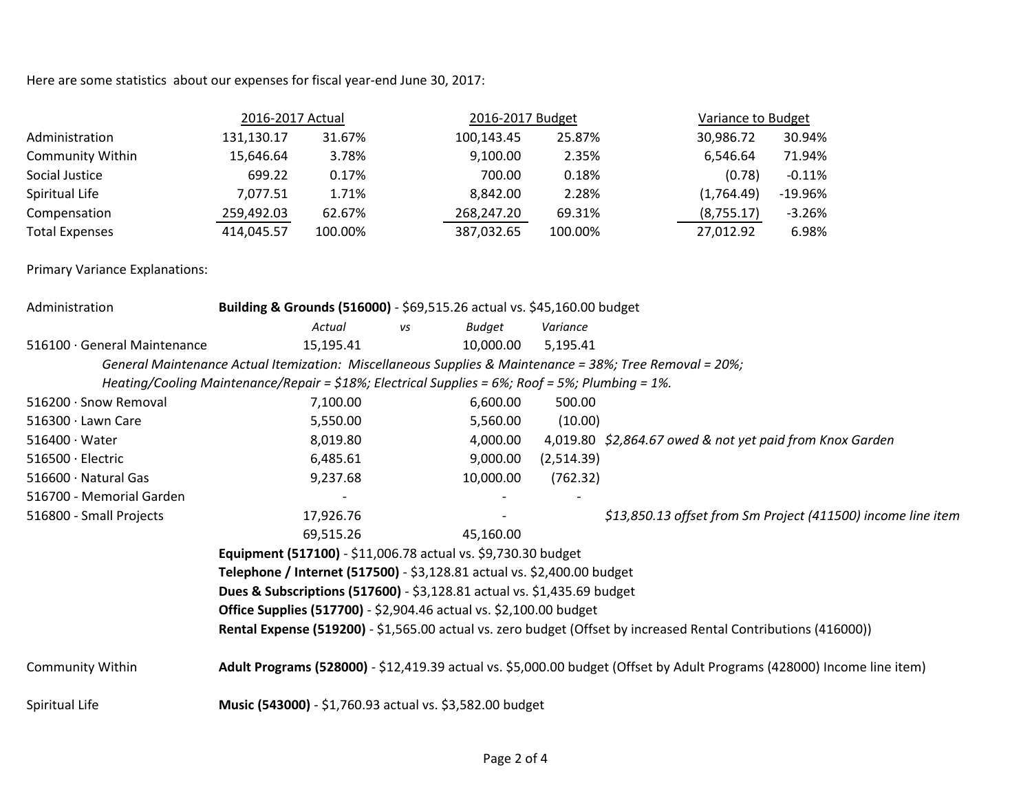Here are some statistics about our expenses for fiscal year-end June 30, 2017:

|                       | 2016-2017 Actual |         | 2016-2017 Budget |         |            | Variance to Budget |  |
|-----------------------|------------------|---------|------------------|---------|------------|--------------------|--|
| Administration        | 131,130.17       | 31.67%  | 100,143.45       | 25.87%  | 30,986.72  | 30.94%             |  |
| Community Within      | 15,646.64        | 3.78%   | 9,100.00         | 2.35%   | 6.546.64   | 71.94%             |  |
| Social Justice        | 699.22           | 0.17%   | 700.00           | 0.18%   | (0.78)     | $-0.11%$           |  |
| Spiritual Life        | 7,077.51         | 1.71%   | 8.842.00         | 2.28%   | (1,764.49) | $-19.96%$          |  |
| Compensation          | 259,492.03       | 62.67%  | 268,247.20       | 69.31%  | (8,755.17) | $-3.26%$           |  |
| <b>Total Expenses</b> | 414,045.57       | 100.00% | 387,032.65       | 100.00% | 27,012.92  | 6.98%              |  |

Primary Variance Explanations:

| Administration               | Building & Grounds (516000) - \$69,515.26 actual vs. \$45,160.00 budget                                         |    |           |            |                                                                                                                         |  |
|------------------------------|-----------------------------------------------------------------------------------------------------------------|----|-----------|------------|-------------------------------------------------------------------------------------------------------------------------|--|
|                              | Actual                                                                                                          | vs | Budget    | Variance   |                                                                                                                         |  |
| 516100 · General Maintenance | 15,195.41                                                                                                       |    | 10,000.00 | 5,195.41   |                                                                                                                         |  |
|                              | General Maintenance Actual Itemization: Miscellaneous Supplies & Maintenance = 38%; Tree Removal = 20%;         |    |           |            |                                                                                                                         |  |
|                              | Heating/Cooling Maintenance/Repair = $$18\%$ ; Electrical Supplies = $6\%$ ; Roof = $5\%$ ; Plumbing = 1%.      |    |           |            |                                                                                                                         |  |
| 516200 · Snow Removal        | 7,100.00                                                                                                        |    | 6,600.00  | 500.00     |                                                                                                                         |  |
| 516300 · Lawn Care           | 5,550.00                                                                                                        |    | 5,560.00  | (10.00)    |                                                                                                                         |  |
| $516400 \cdot Water$         | 8,019.80                                                                                                        |    | 4,000.00  |            | 4,019.80 \$2,864.67 owed & not yet paid from Knox Garden                                                                |  |
| 516500 · Electric            | 6,485.61                                                                                                        |    | 9,000.00  | (2,514.39) |                                                                                                                         |  |
| 516600 · Natural Gas         | 9,237.68                                                                                                        |    | 10,000.00 | (762.32)   |                                                                                                                         |  |
| 516700 - Memorial Garden     |                                                                                                                 |    |           |            |                                                                                                                         |  |
| 516800 - Small Projects      | 17,926.76                                                                                                       |    |           |            | \$13,850.13 offset from Sm Project (411500) income line item                                                            |  |
|                              | 69,515.26                                                                                                       |    | 45,160.00 |            |                                                                                                                         |  |
|                              | Equipment (517100) - \$11,006.78 actual vs. \$9,730.30 budget                                                   |    |           |            |                                                                                                                         |  |
|                              | Telephone / Internet (517500) - \$3,128.81 actual vs. \$2,400.00 budget                                         |    |           |            |                                                                                                                         |  |
|                              | Dues & Subscriptions (517600) - \$3,128.81 actual vs. \$1,435.69 budget                                         |    |           |            |                                                                                                                         |  |
|                              | <b>Office Supplies (517700)</b> - \$2,904.46 actual vs. \$2,100.00 budget                                       |    |           |            |                                                                                                                         |  |
|                              | Rental Expense (519200) - \$1,565.00 actual vs. zero budget (Offset by increased Rental Contributions (416000)) |    |           |            |                                                                                                                         |  |
| <b>Community Within</b>      |                                                                                                                 |    |           |            | Adult Programs (528000) - \$12,419.39 actual vs. \$5,000.00 budget (Offset by Adult Programs (428000) Income line item) |  |
| Spiritual Life               | Music (543000) - \$1,760.93 actual vs. \$3,582.00 budget                                                        |    |           |            |                                                                                                                         |  |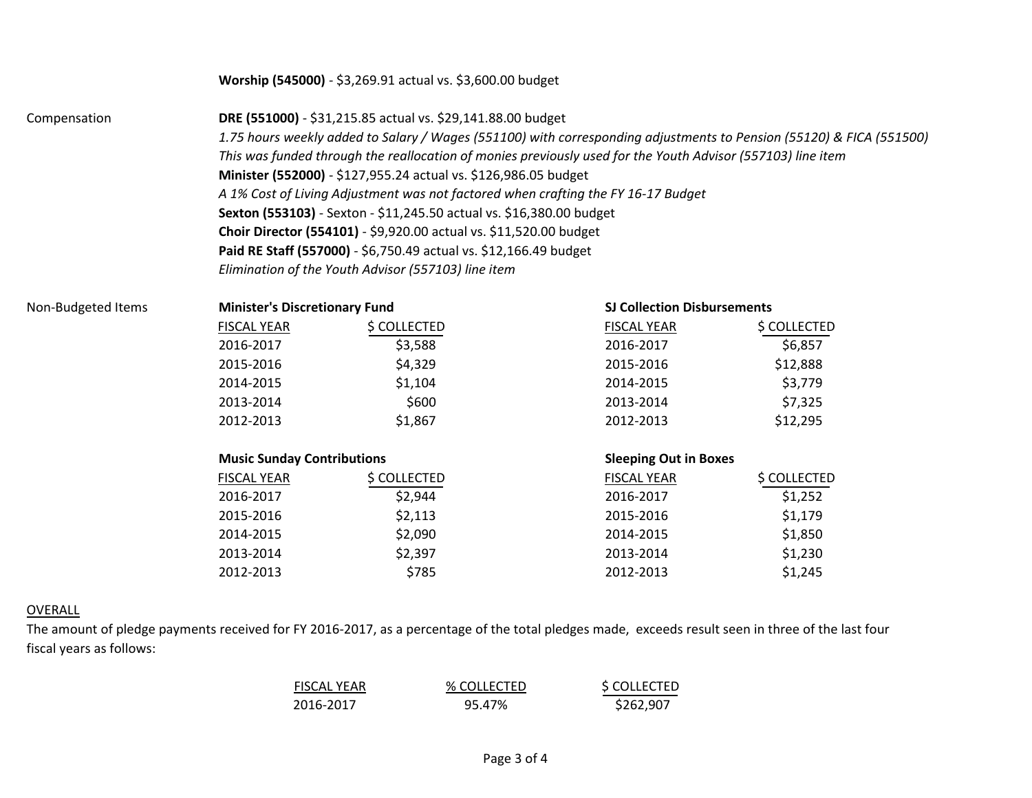# **Worship (545000)** - \$3,269.91 actual vs. \$3,600.00 budget

Compensation **DRE (551000)** - \$31,215.85 actual vs. \$29,141.88.00 budget *1.75 hours weekly added to Salary / Wages (551100) with corresponding adjustments to Pension (55120) & FICA (551500) This was funded through the reallocation of monies previously used for the Youth Advisor (557103) line item* **Minister (552000)** - \$127,955.24 actual vs. \$126,986.05 budget *A 1% Cost of Living Adjustment was not factored when crafting the FY 16-17 Budget* **Sexton (553103)** - Sexton - \$11,245.50 actual vs. \$16,380.00 budget **Choir Director (554101)** - \$9,920.00 actual vs. \$11,520.00 budget **Paid RE Staff (557000)** - \$6,750.49 actual vs. \$12,166.49 budget *Elimination of the Youth Advisor (557103) line item*

| FISCAL YEAR | \$ COLLECTED |
|-------------|--------------|
| 2016-2017   | \$3,588      |
| 2015-2016   | \$4,329      |
| 2014-2015   | \$1,104      |
| 2013-2014   | \$600        |
| 2012-2013   | \$1,867      |

### **Music Sunday Contributions Sleeping Out in Boxes**

| FISCAL YEAR | S COLLECTED | <b>FISCAL YEAR</b> | S COLLECTED |
|-------------|-------------|--------------------|-------------|
| 2016-2017   | \$2,944     | 2016-2017          | \$1,252     |
| 2015-2016   | \$2,113     | 2015-2016          | \$1,179     |
| 2014-2015   | \$2,090     | 2014-2015          | \$1,850     |
| 2013-2014   | \$2,397     | 2013-2014          | \$1,230     |
| 2012-2013   | \$785       | 2012-2013          | \$1,245     |

## Non-Budgeted Items **Minister's Discretionary Fund SJ Collection Disbursements**

| FISCAL YEAR | \$ COLLECTED | <b>FISCAL YEAR</b> | \$ COLLECTED |
|-------------|--------------|--------------------|--------------|
| 2016-2017   | \$3,588      | 2016-2017          | \$6,857      |
| 2015-2016   | \$4,329      | 2015-2016          | \$12,888     |
| 2014-2015   | \$1,104      | 2014-2015          | \$3,779      |
| 2013-2014   | \$600        | 2013-2014          | \$7,325      |
| 2012-2013   | \$1,867      | 2012-2013          | \$12,295     |

| \$ COLLECTED<br>FISCAL YEAR<br><b>FISCAL YEAR</b> | <b>S COLLECTED</b> |
|---------------------------------------------------|--------------------|
| \$2,944<br>2016-2017<br>2016-2017                 | \$1,252            |
| \$2,113<br>2015-2016<br>2015-2016                 | \$1,179            |
| \$2,090<br>2014-2015<br>2014-2015                 | \$1,850            |
| \$2,397<br>2013-2014<br>2013-2014                 | \$1,230            |
| \$785<br>2012-2013<br>2012-2013                   | \$1,245            |

## OVERALL

The amount of pledge payments received for FY 2016-2017, as a percentage of the total pledges made, exceeds result seen in three of the last four fiscal years as follows:

| <b>FISCAL YEAR</b> | % COLLECTED | \$ COLLECTED |
|--------------------|-------------|--------------|
| 2016-2017          | 95.47%      | \$262,907    |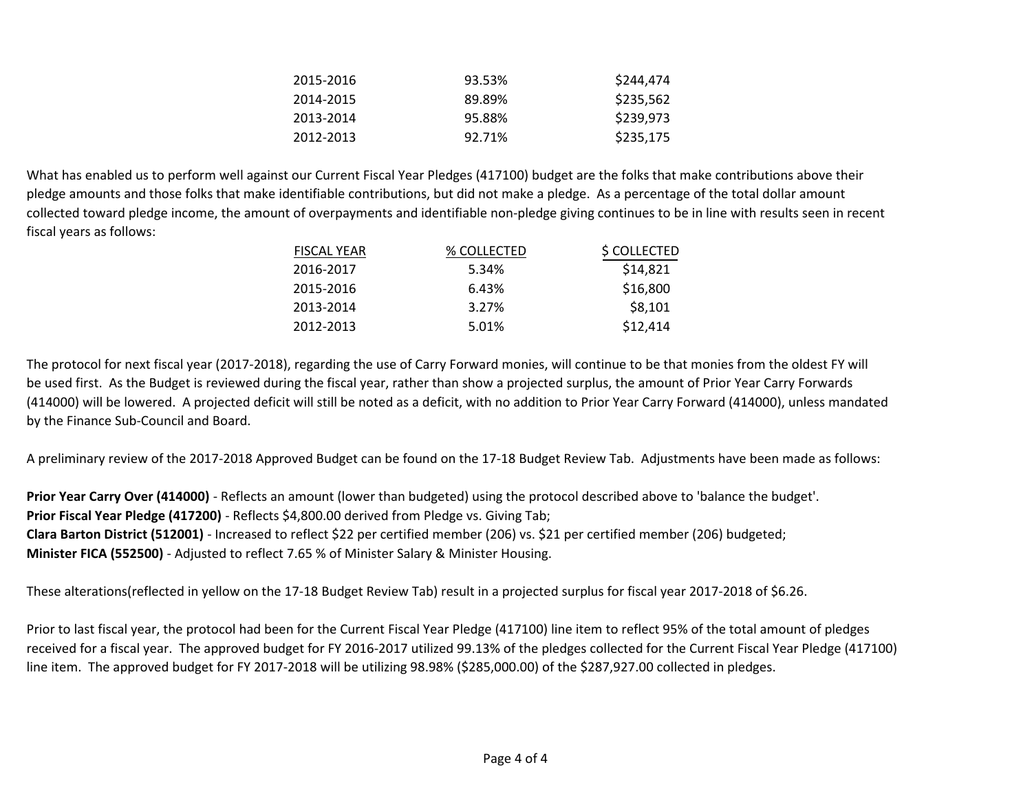| 2015-2016 | 93.53% | \$244,474 |
|-----------|--------|-----------|
| 2014-2015 | 89.89% | \$235,562 |
| 2013-2014 | 95.88% | \$239,973 |
| 2012-2013 | 92.71% | \$235,175 |

What has enabled us to perform well against our Current Fiscal Year Pledges (417100) budget are the folks that make contributions above their pledge amounts and those folks that make identifiable contributions, but did not make a pledge. As a percentage of the total dollar amount collected toward pledge income, the amount of overpayments and identifiable non-pledge giving continues to be in line with results seen in recent fiscal years as follows:

| <b>FISCAL YEAR</b> | % COLLECTED | \$ COLLECTED |
|--------------------|-------------|--------------|
| 2016-2017          | 5.34%       | \$14,821     |
| 2015-2016          | 6.43%       | \$16,800     |
| 2013-2014          | 3.27%       | \$8,101      |
| 2012-2013          | 5.01%       | \$12,414     |

The protocol for next fiscal year (2017-2018), regarding the use of Carry Forward monies, will continue to be that monies from the oldest FY will be used first. As the Budget is reviewed during the fiscal year, rather than show a projected surplus, the amount of Prior Year Carry Forwards (414000) will be lowered. A projected deficit will still be noted as a deficit, with no addition to Prior Year Carry Forward (414000), unless mandated by the Finance Sub-Council and Board.

A preliminary review of the 2017-2018 Approved Budget can be found on the 17-18 Budget Review Tab. Adjustments have been made as follows:

**Prior Year Carry Over (414000)** - Reflects an amount (lower than budgeted) using the protocol described above to 'balance the budget'. **Prior Fiscal Year Pledge (417200)** - Reflects \$4,800.00 derived from Pledge vs. Giving Tab; **Clara Barton District (512001)** - Increased to reflect \$22 per certified member (206) vs. \$21 per certified member (206) budgeted; **Minister FICA (552500)** - Adjusted to reflect 7.65 % of Minister Salary & Minister Housing.

These alterations(reflected in yellow on the 17-18 Budget Review Tab) result in a projected surplus for fiscal year 2017-2018 of \$6.26.

Prior to last fiscal year, the protocol had been for the Current Fiscal Year Pledge (417100) line item to reflect 95% of the total amount of pledges received for a fiscal year. The approved budget for FY 2016-2017 utilized 99.13% of the pledges collected for the Current Fiscal Year Pledge (417100) line item. The approved budget for FY 2017-2018 will be utilizing 98.98% (\$285,000.00) of the \$287,927.00 collected in pledges.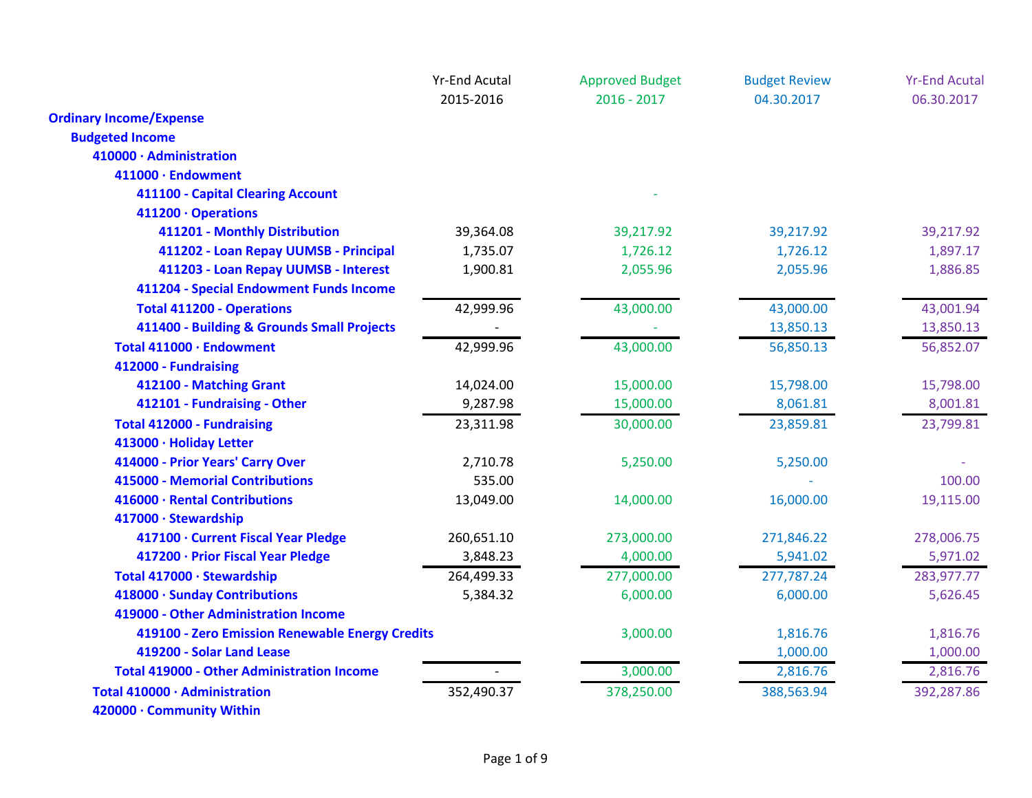|                                                   | <b>Yr-End Acutal</b> | <b>Approved Budget</b> | <b>Budget Review</b> | <b>Yr-End Acutal</b> |
|---------------------------------------------------|----------------------|------------------------|----------------------|----------------------|
|                                                   | 2015-2016            | $2016 - 2017$          | 04.30.2017           | 06.30.2017           |
| <b>Ordinary Income/Expense</b>                    |                      |                        |                      |                      |
| <b>Budgeted Income</b>                            |                      |                        |                      |                      |
| 410000 · Administration                           |                      |                        |                      |                      |
| 411000 · Endowment                                |                      |                        |                      |                      |
| 411100 - Capital Clearing Account                 |                      |                        |                      |                      |
| 411200 · Operations                               |                      |                        |                      |                      |
| 411201 - Monthly Distribution                     | 39,364.08            | 39,217.92              | 39,217.92            | 39,217.92            |
| 411202 - Loan Repay UUMSB - Principal             | 1,735.07             | 1,726.12               | 1,726.12             | 1,897.17             |
| 411203 - Loan Repay UUMSB - Interest              | 1,900.81             | 2,055.96               | 2,055.96             | 1,886.85             |
| 411204 - Special Endowment Funds Income           |                      |                        |                      |                      |
| <b>Total 411200 - Operations</b>                  | 42,999.96            | 43,000.00              | 43,000.00            | 43,001.94            |
| 411400 - Building & Grounds Small Projects        |                      |                        | 13,850.13            | 13,850.13            |
| Total 411000 · Endowment                          | 42,999.96            | 43,000.00              | 56,850.13            | 56,852.07            |
| 412000 - Fundraising                              |                      |                        |                      |                      |
| 412100 - Matching Grant                           | 14,024.00            | 15,000.00              | 15,798.00            | 15,798.00            |
| 412101 - Fundraising - Other                      | 9,287.98             | 15,000.00              | 8,061.81             | 8,001.81             |
| <b>Total 412000 - Fundraising</b>                 | 23,311.98            | 30,000.00              | 23,859.81            | 23,799.81            |
| 413000 · Holiday Letter                           |                      |                        |                      |                      |
| 414000 - Prior Years' Carry Over                  | 2,710.78             | 5,250.00               | 5,250.00             |                      |
| 415000 - Memorial Contributions                   | 535.00               |                        |                      | 100.00               |
| 416000 · Rental Contributions                     | 13,049.00            | 14,000.00              | 16,000.00            | 19,115.00            |
| 417000 · Stewardship                              |                      |                        |                      |                      |
| 417100 · Current Fiscal Year Pledge               | 260,651.10           | 273,000.00             | 271,846.22           | 278,006.75           |
| 417200 · Prior Fiscal Year Pledge                 | 3,848.23             | 4,000.00               | 5,941.02             | 5,971.02             |
| Total 417000 · Stewardship                        | 264,499.33           | 277,000.00             | 277,787.24           | 283,977.77           |
| 418000 · Sunday Contributions                     | 5,384.32             | 6,000.00               | 6,000.00             | 5,626.45             |
| 419000 - Other Administration Income              |                      |                        |                      |                      |
| 419100 - Zero Emission Renewable Energy Credits   |                      | 3,000.00               | 1,816.76             | 1,816.76             |
| 419200 - Solar Land Lease                         |                      |                        | 1,000.00             | 1,000.00             |
| <b>Total 419000 - Other Administration Income</b> |                      | 3,000.00               | 2,816.76             | 2,816.76             |
| Total 410000 · Administration                     | 352,490.37           | 378,250.00             | 388,563.94           | 392,287.86           |
| 420000 · Community Within                         |                      |                        |                      |                      |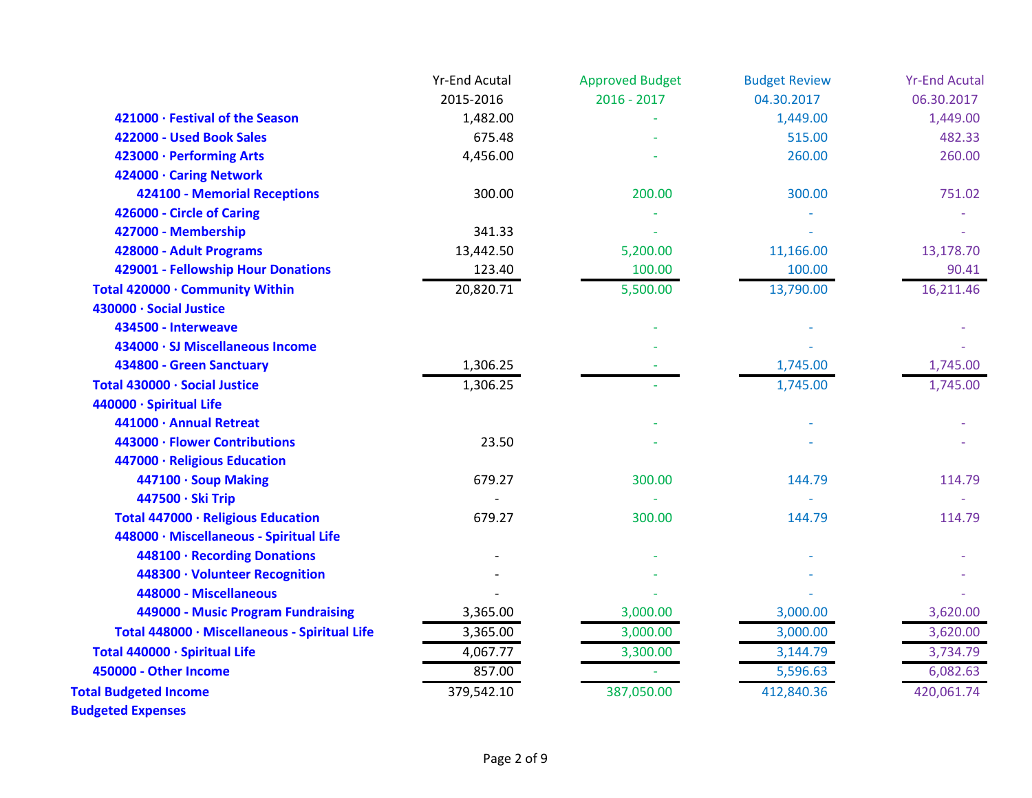|                                               | <b>Yr-End Acutal</b> | <b>Approved Budget</b> | <b>Budget Review</b> | <b>Yr-End Acutal</b> |
|-----------------------------------------------|----------------------|------------------------|----------------------|----------------------|
|                                               | 2015-2016            | $2016 - 2017$          | 04.30.2017           | 06.30.2017           |
| 421000 · Festival of the Season               | 1,482.00             |                        | 1,449.00             | 1,449.00             |
| 422000 - Used Book Sales                      | 675.48               |                        | 515.00               | 482.33               |
| 423000 · Performing Arts                      | 4,456.00             |                        | 260.00               | 260.00               |
| 424000 · Caring Network                       |                      |                        |                      |                      |
| 424100 - Memorial Receptions                  | 300.00               | 200.00                 | 300.00               | 751.02               |
| 426000 - Circle of Caring                     |                      |                        |                      |                      |
| 427000 - Membership                           | 341.33               |                        |                      |                      |
| 428000 - Adult Programs                       | 13,442.50            | 5,200.00               | 11,166.00            | 13,178.70            |
| 429001 - Fellowship Hour Donations            | 123.40               | 100.00                 | 100.00               | 90.41                |
| Total 420000 · Community Within               | 20,820.71            | 5,500.00               | 13,790.00            | 16,211.46            |
| 430000 · Social Justice                       |                      |                        |                      |                      |
| 434500 - Interweave                           |                      |                        |                      |                      |
| 434000 · SJ Miscellaneous Income              |                      |                        |                      |                      |
| 434800 - Green Sanctuary                      | 1,306.25             |                        | 1,745.00             | 1,745.00             |
| Total 430000 · Social Justice                 | 1,306.25             |                        | 1,745.00             | 1,745.00             |
| 440000 · Spiritual Life                       |                      |                        |                      |                      |
| 441000 · Annual Retreat                       |                      |                        |                      |                      |
| 443000 · Flower Contributions                 | 23.50                |                        |                      |                      |
| 447000 · Religious Education                  |                      |                        |                      |                      |
| 447100 · Soup Making                          | 679.27               | 300.00                 | 144.79               | 114.79               |
| 447500 · Ski Trip                             |                      |                        |                      |                      |
| Total 447000 · Religious Education            | 679.27               | 300.00                 | 144.79               | 114.79               |
| 448000 · Miscellaneous - Spiritual Life       |                      |                        |                      |                      |
| 448100 · Recording Donations                  |                      |                        |                      |                      |
| 448300 · Volunteer Recognition                |                      |                        |                      |                      |
| 448000 - Miscellaneous                        |                      |                        |                      |                      |
| 449000 - Music Program Fundraising            | 3,365.00             | 3,000.00               | 3,000.00             | 3,620.00             |
| Total 448000 · Miscellaneous - Spiritual Life | 3,365.00             | 3,000.00               | 3,000.00             | 3,620.00             |
| Total 440000 · Spiritual Life                 | 4,067.77             | 3,300.00               | 3,144.79             | 3,734.79             |
| 450000 - Other Income                         | 857.00               |                        | 5,596.63             | 6,082.63             |
| <b>Total Budgeted Income</b>                  | 379,542.10           | 387,050.00             | 412,840.36           | 420,061.74           |
|                                               |                      |                        |                      |                      |

**Budgeted Expenses**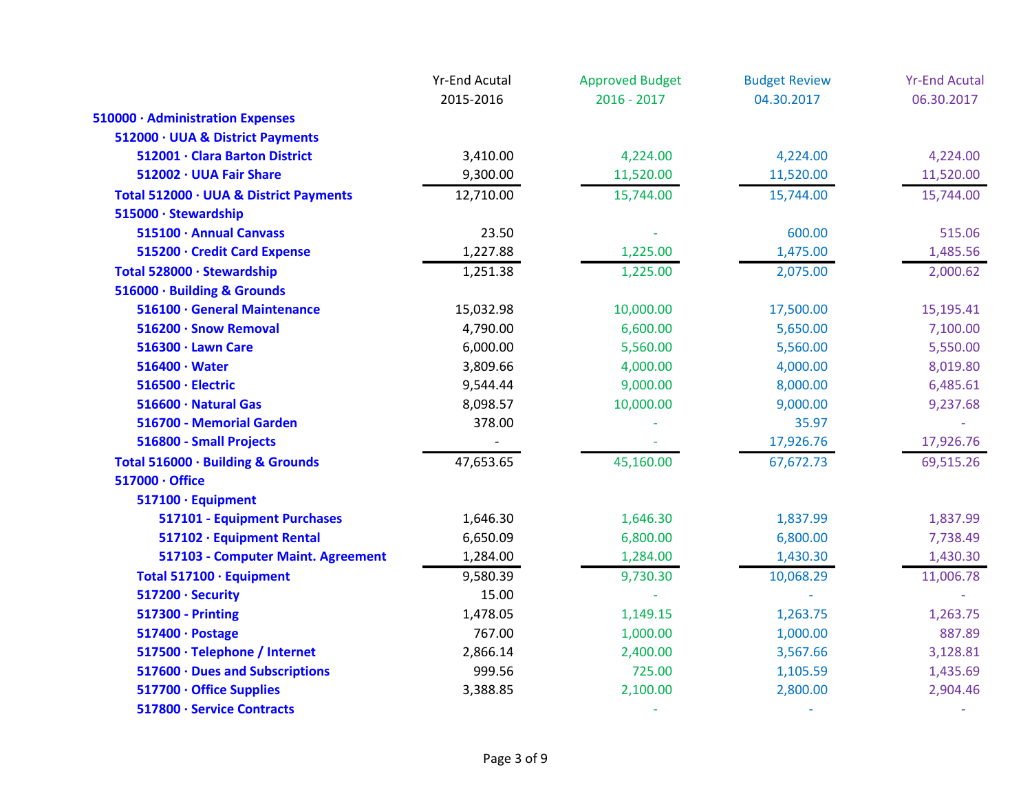|                                        | <b>Yr-End Acutal</b><br>2015-2016 | <b>Approved Budget</b><br>$2016 - 2017$ | <b>Budget Review</b><br>04.30.2017 | <b>Yr-End Acutal</b><br>06.30.2017 |
|----------------------------------------|-----------------------------------|-----------------------------------------|------------------------------------|------------------------------------|
|                                        |                                   |                                         |                                    |                                    |
| 510000 · Administration Expenses       |                                   |                                         |                                    |                                    |
| 512000 · UUA & District Payments       |                                   |                                         |                                    |                                    |
| 512001 · Clara Barton District         | 3,410.00                          | 4,224.00                                | 4,224.00                           | 4,224.00                           |
| 512002 · UUA Fair Share                | 9,300.00                          | 11,520.00                               | 11,520.00                          | 11,520.00                          |
| Total 512000 · UUA & District Payments | 12,710.00                         | 15,744.00                               | 15,744.00                          | 15,744.00                          |
| 515000 · Stewardship                   |                                   |                                         |                                    |                                    |
| 515100 · Annual Canvass                | 23.50                             |                                         | 600.00                             | 515.06                             |
| 515200 · Credit Card Expense           | 1,227.88                          | 1,225.00                                | 1,475.00                           | 1,485.56                           |
| Total 528000 · Stewardship             | 1,251.38                          | 1,225.00                                | 2,075.00                           | 2,000.62                           |
| 516000 · Building & Grounds            |                                   |                                         |                                    |                                    |
| 516100 · General Maintenance           | 15,032.98                         | 10,000.00                               | 17,500.00                          | 15,195.41                          |
| 516200 · Snow Removal                  | 4,790.00                          | 6,600.00                                | 5,650.00                           | 7,100.00                           |
| 516300 · Lawn Care                     | 6,000.00                          | 5,560.00                                | 5,560.00                           | 5,550.00                           |
| $516400 \cdot Water$                   | 3,809.66                          | 4,000.00                                | 4,000.00                           | 8,019.80                           |
| 516500 · Electric                      | 9,544.44                          | 9,000.00                                | 8,000.00                           | 6,485.61                           |
| 516600 · Natural Gas                   | 8,098.57                          | 10,000.00                               | 9,000.00                           | 9,237.68                           |
| 516700 - Memorial Garden               | 378.00                            |                                         | 35.97                              |                                    |
| 516800 - Small Projects                |                                   |                                         | 17,926.76                          | 17,926.76                          |
| Total 516000 · Building & Grounds      | 47,653.65                         | 45,160.00                               | 67,672.73                          | 69,515.26                          |
| 517000 · Office                        |                                   |                                         |                                    |                                    |
| 517100 · Equipment                     |                                   |                                         |                                    |                                    |
| 517101 - Equipment Purchases           | 1,646.30                          | 1,646.30                                | 1,837.99                           | 1,837.99                           |
| 517102 · Equipment Rental              | 6,650.09                          | 6,800.00                                | 6,800.00                           | 7,738.49                           |
| 517103 - Computer Maint. Agreement     | 1,284.00                          | 1,284.00                                | 1,430.30                           | 1,430.30                           |
| Total 517100 · Equipment               | 9,580.39                          | 9,730.30                                | 10,068.29                          | 11,006.78                          |
| 517200 · Security                      | 15.00                             |                                         |                                    |                                    |
| <b>517300 - Printing</b>               | 1,478.05                          | 1,149.15                                | 1,263.75                           | 1,263.75                           |
| 517400 · Postage                       | 767.00                            | 1,000.00                                | 1,000.00                           | 887.89                             |
| 517500 · Telephone / Internet          | 2,866.14                          | 2,400.00                                | 3,567.66                           | 3,128.81                           |
| 517600 · Dues and Subscriptions        | 999.56                            | 725.00                                  | 1,105.59                           | 1,435.69                           |
| 517700 · Office Supplies               | 3,388.85                          | 2,100.00                                | 2,800.00                           | 2,904.46                           |
| 517800 · Service Contracts             |                                   |                                         |                                    |                                    |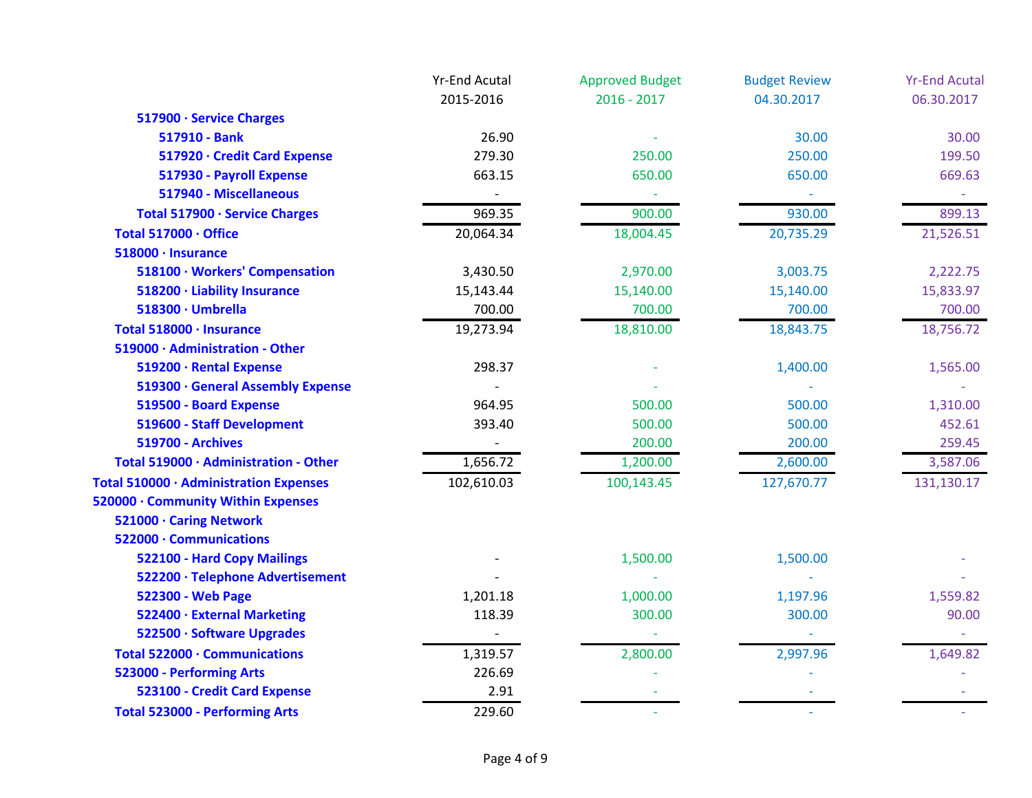|                                        | <b>Yr-End Acutal</b> | <b>Approved Budget</b> | <b>Budget Review</b> | <b>Yr-End Acutal</b> |
|----------------------------------------|----------------------|------------------------|----------------------|----------------------|
|                                        | 2015-2016            | $2016 - 2017$          | 04.30.2017           | 06.30.2017           |
| 517900 · Service Charges               |                      |                        |                      |                      |
| 517910 - Bank                          | 26.90                |                        | 30.00                | 30.00                |
| 517920 · Credit Card Expense           | 279.30               | 250.00                 | 250.00               | 199.50               |
| 517930 - Payroll Expense               | 663.15               | 650.00                 | 650.00               | 669.63               |
| 517940 - Miscellaneous                 |                      |                        | $\blacksquare$       |                      |
| Total 517900 · Service Charges         | 969.35               | 900.00                 | 930.00               | 899.13               |
| Total 517000 · Office                  | 20,064.34            | 18,004.45              | 20,735.29            | 21,526.51            |
| 518000 · Insurance                     |                      |                        |                      |                      |
| 518100 · Workers' Compensation         | 3,430.50             | 2,970.00               | 3,003.75             | 2,222.75             |
| 518200 · Liability Insurance           | 15,143.44            | 15,140.00              | 15,140.00            | 15,833.97            |
| 518300 · Umbrella                      | 700.00               | 700.00                 | 700.00               | 700.00               |
| Total 518000 · Insurance               | 19,273.94            | 18,810.00              | 18,843.75            | 18,756.72            |
| 519000 · Administration - Other        |                      |                        |                      |                      |
| 519200 · Rental Expense                | 298.37               |                        | 1,400.00             | 1,565.00             |
| 519300 · General Assembly Expense      |                      |                        |                      |                      |
| 519500 - Board Expense                 | 964.95               | 500.00                 | 500.00               | 1,310.00             |
| 519600 - Staff Development             | 393.40               | 500.00                 | 500.00               | 452.61               |
| <b>519700 - Archives</b>               |                      | 200.00                 | 200.00               | 259.45               |
| Total 519000 · Administration - Other  | 1,656.72             | 1,200.00               | 2,600.00             | 3,587.06             |
| Total 510000 · Administration Expenses | 102,610.03           | 100,143.45             | 127,670.77           | 131,130.17           |
| 520000 · Community Within Expenses     |                      |                        |                      |                      |
| 521000 · Caring Network                |                      |                        |                      |                      |
| 522000 · Communications                |                      |                        |                      |                      |
| 522100 - Hard Copy Mailings            |                      | 1,500.00               | 1,500.00             |                      |
| 522200 · Telephone Advertisement       |                      |                        |                      |                      |
| 522300 - Web Page                      | 1,201.18             | 1,000.00               | 1,197.96             | 1,559.82             |
| 522400 · External Marketing            | 118.39               | 300.00                 | 300.00               | 90.00                |
| 522500 · Software Upgrades             |                      |                        |                      |                      |
| Total 522000 · Communications          | 1,319.57             | 2,800.00               | 2,997.96             | 1,649.82             |
| 523000 - Performing Arts               | 226.69               |                        |                      |                      |
| 523100 - Credit Card Expense           | 2.91                 |                        |                      |                      |
| <b>Total 523000 - Performing Arts</b>  | 229.60               |                        |                      |                      |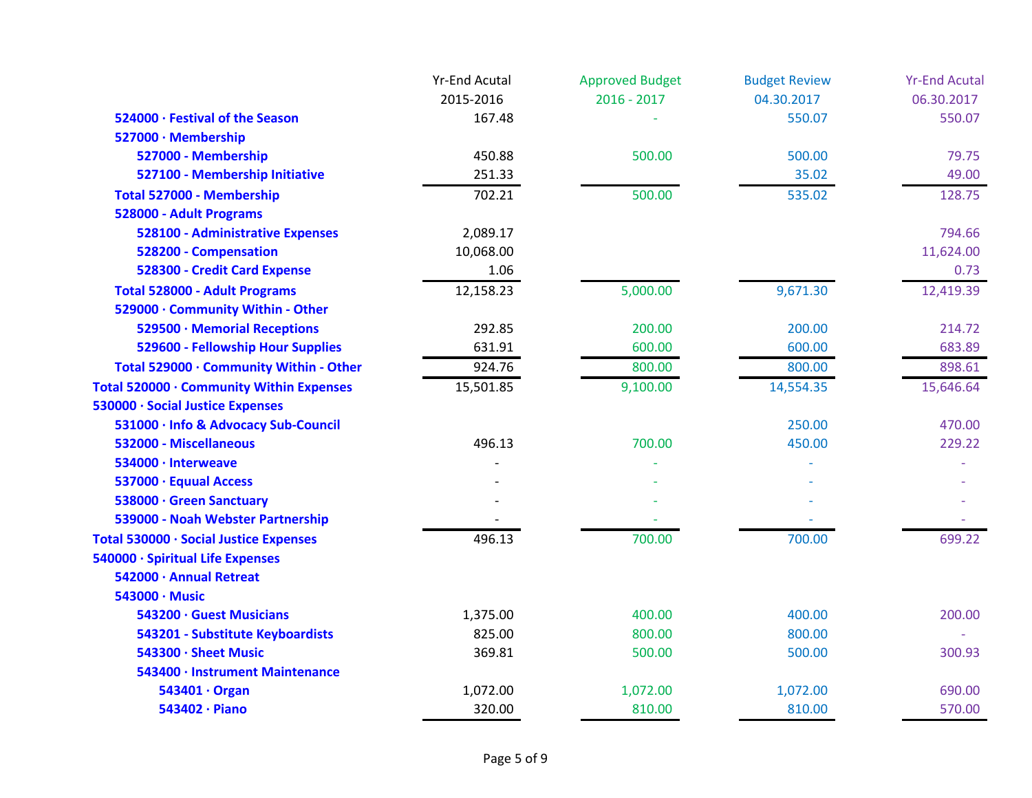|                                          | <b>Yr-End Acutal</b> | <b>Approved Budget</b> | <b>Budget Review</b> | <b>Yr-End Acutal</b> |
|------------------------------------------|----------------------|------------------------|----------------------|----------------------|
|                                          | 2015-2016            | $2016 - 2017$          | 04.30.2017           | 06.30.2017           |
| 524000 · Festival of the Season          | 167.48               |                        | 550.07               | 550.07               |
| 527000 · Membership                      |                      |                        |                      |                      |
| 527000 - Membership                      | 450.88               | 500.00                 | 500.00               | 79.75                |
| 527100 - Membership Initiative           | 251.33               |                        | 35.02                | 49.00                |
| Total 527000 - Membership                | 702.21               | 500.00                 | 535.02               | 128.75               |
| 528000 - Adult Programs                  |                      |                        |                      |                      |
| 528100 - Administrative Expenses         | 2,089.17             |                        |                      | 794.66               |
| 528200 - Compensation                    | 10,068.00            |                        |                      | 11,624.00            |
| 528300 - Credit Card Expense             | 1.06                 |                        |                      | 0.73                 |
| <b>Total 528000 - Adult Programs</b>     | 12,158.23            | 5,000.00               | 9,671.30             | 12,419.39            |
| 529000 · Community Within - Other        |                      |                        |                      |                      |
| 529500 · Memorial Receptions             | 292.85               | 200.00                 | 200.00               | 214.72               |
| 529600 - Fellowship Hour Supplies        | 631.91               | 600.00                 | 600.00               | 683.89               |
| Total 529000 · Community Within - Other  | 924.76               | 800.00                 | 800.00               | 898.61               |
| Total 520000 · Community Within Expenses | 15,501.85            | 9,100.00               | 14,554.35            | 15,646.64            |
| 530000 · Social Justice Expenses         |                      |                        |                      |                      |
| 531000 · Info & Advocacy Sub-Council     |                      |                        | 250.00               | 470.00               |
| 532000 - Miscellaneous                   | 496.13               | 700.00                 | 450.00               | 229.22               |
| 534000 · Interweave                      |                      |                        |                      |                      |
| 537000 · Equual Access                   |                      |                        |                      |                      |
| 538000 · Green Sanctuary                 |                      |                        |                      |                      |
| 539000 - Noah Webster Partnership        |                      |                        |                      |                      |
| Total 530000 · Social Justice Expenses   | 496.13               | 700.00                 | 700.00               | 699.22               |
| 540000 · Spiritual Life Expenses         |                      |                        |                      |                      |
| 542000 · Annual Retreat                  |                      |                        |                      |                      |
| 543000 · Music                           |                      |                        |                      |                      |
| 543200 · Guest Musicians                 | 1,375.00             | 400.00                 | 400.00               | 200.00               |
| 543201 - Substitute Keyboardists         | 825.00               | 800.00                 | 800.00               |                      |
| 543300 · Sheet Music                     | 369.81               | 500.00                 | 500.00               | 300.93               |
| 543400 · Instrument Maintenance          |                      |                        |                      |                      |
| 543401 · Organ                           | 1,072.00             | 1,072.00               | 1,072.00             | 690.00               |
| 543402 · Piano                           | 320.00               | 810.00                 | 810.00               | 570.00               |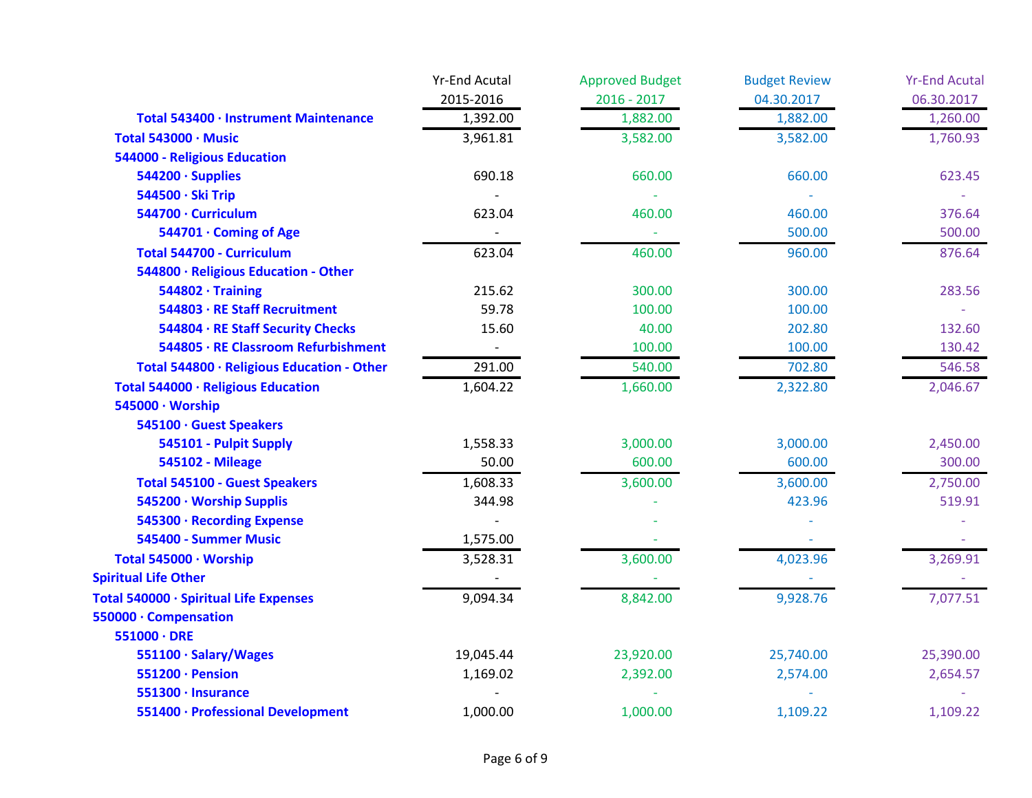|                                            | <b>Yr-End Acutal</b> | <b>Approved Budget</b> | <b>Budget Review</b> | <b>Yr-End Acutal</b> |
|--------------------------------------------|----------------------|------------------------|----------------------|----------------------|
|                                            | 2015-2016            | $2016 - 2017$          | 04.30.2017           | 06.30.2017           |
| Total 543400 · Instrument Maintenance      | 1,392.00             | 1,882.00               | 1,882.00             | 1,260.00             |
| Total 543000 · Music                       | 3,961.81             | 3,582.00               | 3,582.00             | 1,760.93             |
| <b>544000 - Religious Education</b>        |                      |                        |                      |                      |
| 544200 · Supplies                          | 690.18               | 660.00                 | 660.00               | 623.45               |
| 544500 · Ski Trip                          |                      |                        |                      |                      |
| 544700 · Curriculum                        | 623.04               | 460.00                 | 460.00               | 376.64               |
| 544701 · Coming of Age                     |                      |                        | 500.00               | 500.00               |
| Total 544700 - Curriculum                  | 623.04               | 460.00                 | 960.00               | 876.64               |
| 544800 · Religious Education - Other       |                      |                        |                      |                      |
| $544802 \cdot$ Training                    | 215.62               | 300.00                 | 300.00               | 283.56               |
| 544803 · RE Staff Recruitment              | 59.78                | 100.00                 | 100.00               |                      |
| 544804 · RE Staff Security Checks          | 15.60                | 40.00                  | 202.80               | 132.60               |
| 544805 · RE Classroom Refurbishment        |                      | 100.00                 | 100.00               | 130.42               |
| Total 544800 · Religious Education - Other | 291.00               | 540.00                 | 702.80               | 546.58               |
| Total 544000 · Religious Education         | 1,604.22             | 1,660.00               | 2,322.80             | 2,046.67             |
| 545000 · Worship                           |                      |                        |                      |                      |
| 545100 · Guest Speakers                    |                      |                        |                      |                      |
| 545101 - Pulpit Supply                     | 1,558.33             | 3,000.00               | 3,000.00             | 2,450.00             |
| <b>545102 - Mileage</b>                    | 50.00                | 600.00                 | 600.00               | 300.00               |
| <b>Total 545100 - Guest Speakers</b>       | 1,608.33             | 3,600.00               | 3,600.00             | 2,750.00             |
| 545200 · Worship Supplis                   | 344.98               |                        | 423.96               | 519.91               |
| 545300 · Recording Expense                 |                      |                        |                      |                      |
| 545400 - Summer Music                      | 1,575.00             |                        |                      |                      |
| Total 545000 · Worship                     | 3,528.31             | 3,600.00               | 4,023.96             | 3,269.91             |
| <b>Spiritual Life Other</b>                |                      |                        |                      |                      |
| Total 540000 · Spiritual Life Expenses     | 9,094.34             | 8,842.00               | 9,928.76             | 7,077.51             |
| 550000 · Compensation                      |                      |                        |                      |                      |
| $551000 \cdot DRE$                         |                      |                        |                      |                      |
| 551100 · Salary/Wages                      | 19,045.44            | 23,920.00              | 25,740.00            | 25,390.00            |
| 551200 · Pension                           | 1,169.02             | 2,392.00               | 2,574.00             | 2,654.57             |
| 551300 · Insurance                         |                      |                        |                      |                      |
| 551400 · Professional Development          | 1,000.00             | 1,000.00               | 1,109.22             | 1,109.22             |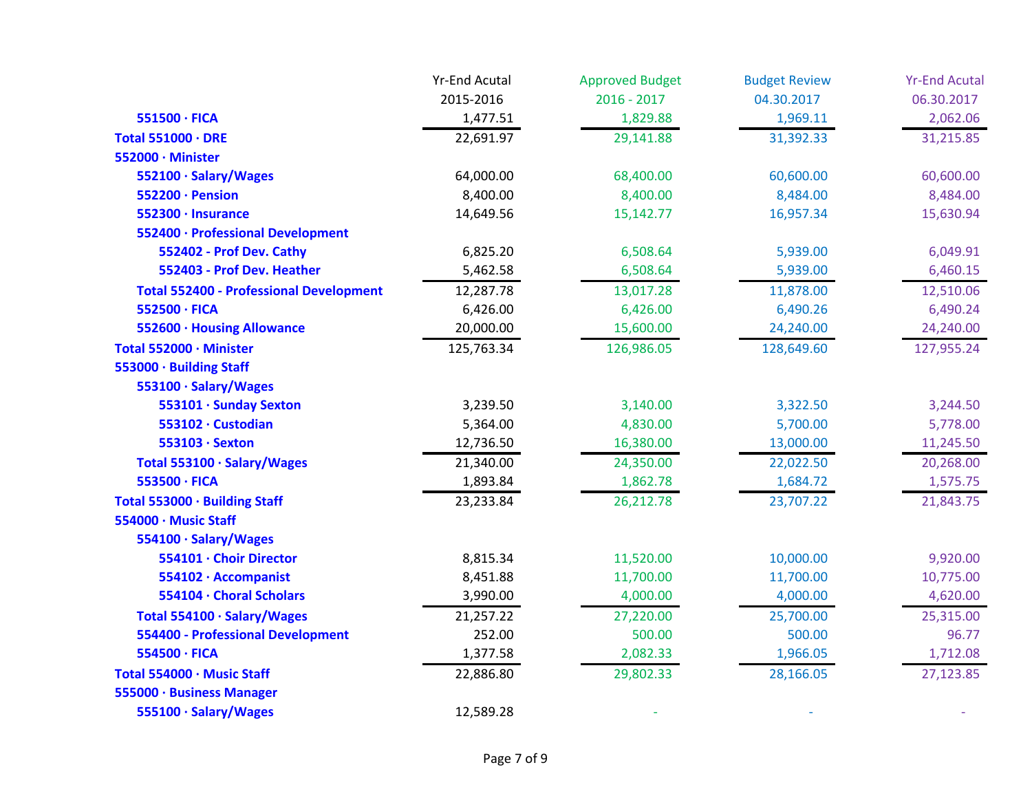|                                                | <b>Yr-End Acutal</b> | <b>Approved Budget</b> | <b>Budget Review</b> | <b>Yr-End Acutal</b> |
|------------------------------------------------|----------------------|------------------------|----------------------|----------------------|
|                                                | 2015-2016            | $2016 - 2017$          | 04.30.2017           | 06.30.2017           |
| 551500 · FICA                                  | 1,477.51             | 1,829.88               | 1,969.11             | 2,062.06             |
| Total 551000 · DRE                             | 22,691.97            | 29,141.88              | 31,392.33            | 31,215.85            |
| 552000 · Minister                              |                      |                        |                      |                      |
| 552100 · Salary/Wages                          | 64,000.00            | 68,400.00              | 60,600.00            | 60,600.00            |
| 552200 · Pension                               | 8,400.00             | 8,400.00               | 8,484.00             | 8,484.00             |
| 552300 · Insurance                             | 14,649.56            | 15,142.77              | 16,957.34            | 15,630.94            |
| 552400 · Professional Development              |                      |                        |                      |                      |
| 552402 - Prof Dev. Cathy                       | 6,825.20             | 6,508.64               | 5,939.00             | 6,049.91             |
| 552403 - Prof Dev. Heather                     | 5,462.58             | 6,508.64               | 5,939.00             | 6,460.15             |
| <b>Total 552400 - Professional Development</b> | 12,287.78            | 13,017.28              | 11,878.00            | 12,510.06            |
| 552500 · FICA                                  | 6,426.00             | 6,426.00               | 6,490.26             | 6,490.24             |
| 552600 · Housing Allowance                     | 20,000.00            | 15,600.00              | 24,240.00            | 24,240.00            |
| Total 552000 · Minister                        | 125,763.34           | 126,986.05             | 128,649.60           | 127,955.24           |
| 553000 · Building Staff                        |                      |                        |                      |                      |
| 553100 · Salary/Wages                          |                      |                        |                      |                      |
| 553101 · Sunday Sexton                         | 3,239.50             | 3,140.00               | 3,322.50             | 3,244.50             |
| 553102 · Custodian                             | 5,364.00             | 4,830.00               | 5,700.00             | 5,778.00             |
| 553103 · Sexton                                | 12,736.50            | 16,380.00              | 13,000.00            | 11,245.50            |
| Total 553100 · Salary/Wages                    | 21,340.00            | 24,350.00              | 22,022.50            | 20,268.00            |
| 553500 · FICA                                  | 1,893.84             | 1,862.78               | 1,684.72             | 1,575.75             |
| Total 553000 · Building Staff                  | 23,233.84            | 26,212.78              | 23,707.22            | 21,843.75            |
| 554000 · Music Staff                           |                      |                        |                      |                      |
| 554100 · Salary/Wages                          |                      |                        |                      |                      |
| 554101 · Choir Director                        | 8,815.34             | 11,520.00              | 10,000.00            | 9,920.00             |
| 554102 · Accompanist                           | 8,451.88             | 11,700.00              | 11,700.00            | 10,775.00            |
| 554104 · Choral Scholars                       | 3,990.00             | 4,000.00               | 4,000.00             | 4,620.00             |
| Total 554100 · Salary/Wages                    | 21,257.22            | 27,220.00              | 25,700.00            | 25,315.00            |
| <b>554400 - Professional Development</b>       | 252.00               | 500.00                 | 500.00               | 96.77                |
| 554500 · FICA                                  | 1,377.58             | 2,082.33               | 1,966.05             | 1,712.08             |
| Total 554000 · Music Staff                     | 22,886.80            | 29,802.33              | 28,166.05            | 27,123.85            |
| 555000 · Business Manager                      |                      |                        |                      |                      |
| 555100 · Salary/Wages                          | 12,589.28            |                        |                      |                      |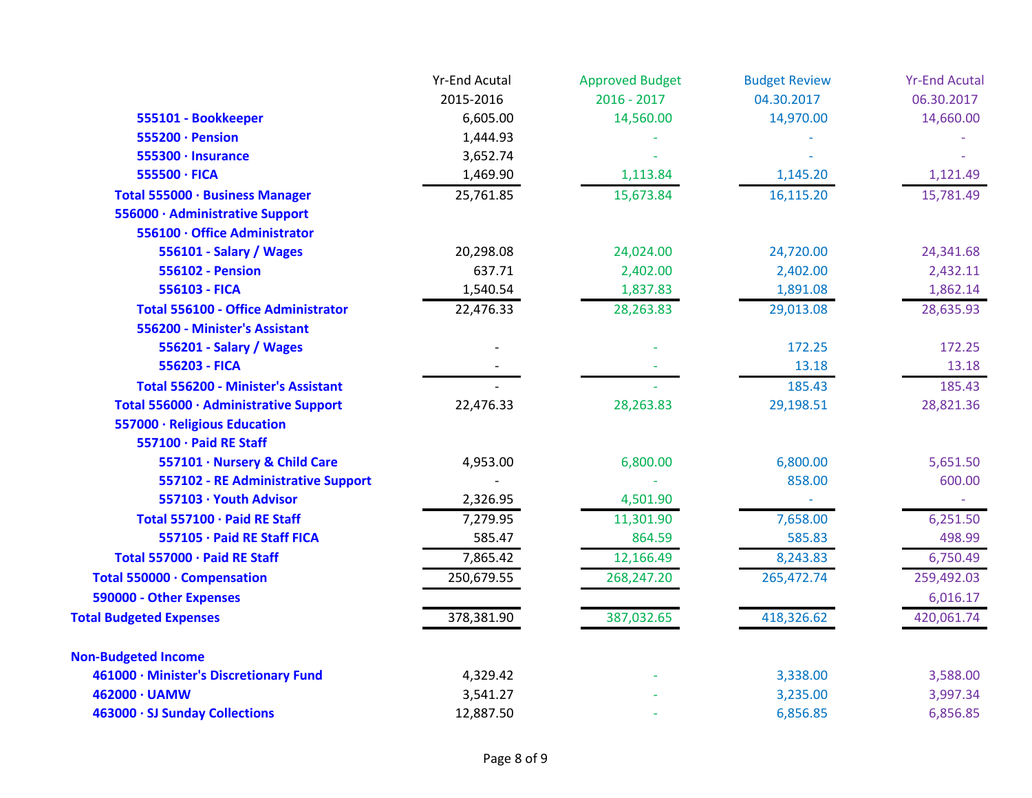|                                            | <b>Yr-End Acutal</b> | <b>Approved Budget</b> | <b>Budget Review</b> | <b>Yr-End Acutal</b> |
|--------------------------------------------|----------------------|------------------------|----------------------|----------------------|
|                                            | 2015-2016            | $2016 - 2017$          | 04.30.2017           | 06.30.2017           |
| 555101 - Bookkeeper                        | 6,605.00             | 14,560.00              | 14,970.00            | 14,660.00            |
| 555200 · Pension                           | 1,444.93             |                        |                      |                      |
| 555300 · Insurance                         | 3,652.74             |                        |                      |                      |
| 555500 · FICA                              | 1,469.90             | 1,113.84               | 1,145.20             | 1,121.49             |
| Total 555000 · Business Manager            | 25,761.85            | 15,673.84              | 16,115.20            | 15,781.49            |
| 556000 · Administrative Support            |                      |                        |                      |                      |
| 556100 · Office Administrator              |                      |                        |                      |                      |
| 556101 - Salary / Wages                    | 20,298.08            | 24,024.00              | 24,720.00            | 24,341.68            |
| <b>556102 - Pension</b>                    | 637.71               | 2,402.00               | 2,402.00             | 2,432.11             |
| 556103 - FICA                              | 1,540.54             | 1,837.83               | 1,891.08             | 1,862.14             |
| <b>Total 556100 - Office Administrator</b> | 22,476.33            | 28,263.83              | 29,013.08            | 28,635.93            |
| 556200 - Minister's Assistant              |                      |                        |                      |                      |
| 556201 - Salary / Wages                    |                      |                        | 172.25               | 172.25               |
| 556203 - FICA                              |                      |                        | 13.18                | 13.18                |
| <b>Total 556200 - Minister's Assistant</b> |                      |                        | 185.43               | 185.43               |
| Total 556000 · Administrative Support      | 22,476.33            | 28,263.83              | 29,198.51            | 28,821.36            |
| 557000 · Religious Education               |                      |                        |                      |                      |
| 557100 · Paid RE Staff                     |                      |                        |                      |                      |
| 557101 · Nursery & Child Care              | 4,953.00             | 6,800.00               | 6,800.00             | 5,651.50             |
| 557102 - RE Administrative Support         |                      |                        | 858.00               | 600.00               |
| 557103 · Youth Advisor                     | 2,326.95             | 4,501.90               |                      |                      |
| Total 557100 · Paid RE Staff               | 7,279.95             | 11,301.90              | 7,658.00             | 6,251.50             |
| 557105 · Paid RE Staff FICA                | 585.47               | 864.59                 | 585.83               | 498.99               |
| Total 557000 · Paid RE Staff               | 7,865.42             | 12,166.49              | 8,243.83             | 6,750.49             |
| Total 550000 · Compensation                | 250,679.55           | 268,247.20             | 265,472.74           | 259,492.03           |
| 590000 - Other Expenses                    |                      |                        |                      | 6,016.17             |
| <b>Total Budgeted Expenses</b>             | 378,381.90           | 387,032.65             | 418,326.62           | 420,061.74           |
| <b>Non-Budgeted Income</b>                 |                      |                        |                      |                      |
| 461000 · Minister's Discretionary Fund     | 4,329.42             |                        | 3,338.00             | 3,588.00             |
| 462000 · UAMW                              | 3,541.27             |                        | 3,235.00             | 3,997.34             |
| 463000 · SJ Sunday Collections             | 12,887.50            |                        | 6,856.85             | 6,856.85             |
|                                            |                      |                        |                      |                      |